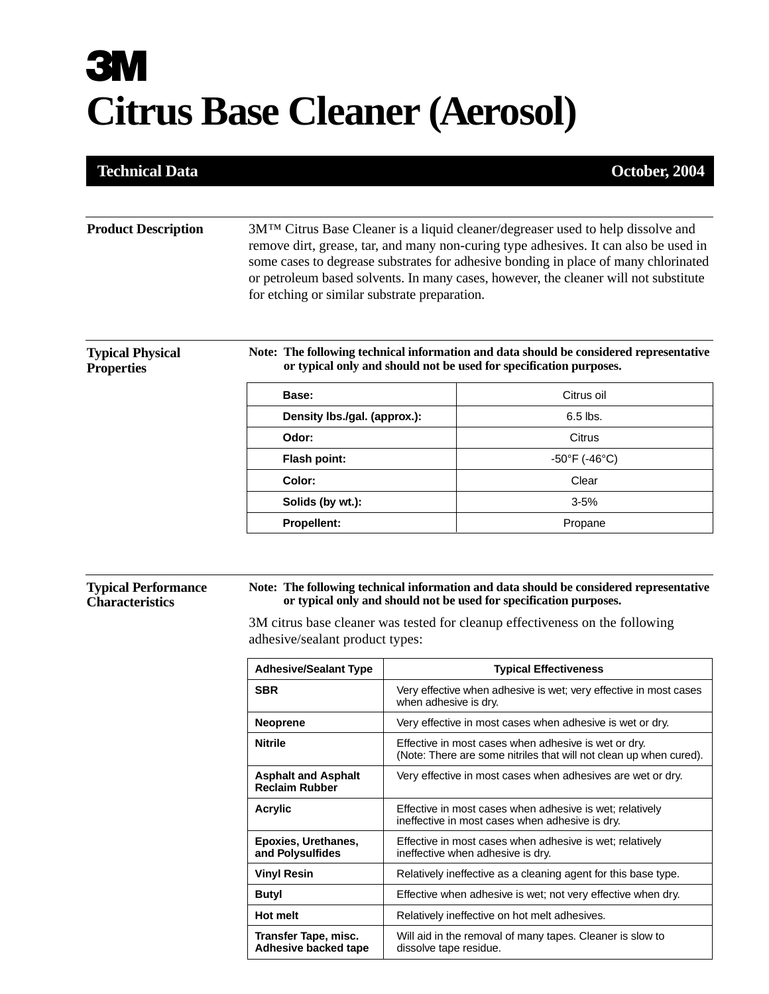# **3M Citrus Base Cleaner (Aerosol)**

### **Technical Data October, 2004**

#### **Product Description** 3M™ Citrus Base Cleaner is a liquid cleaner/degreaser used to help dissolve and remove dirt, grease, tar, and many non-curing type adhesives. It can also be used in some cases to degrease substrates for adhesive bonding in place of many chlorinated or petroleum based solvents. In many cases, however, the cleaner will not substitute for etching or similar substrate preparation.

#### **Typical Physical Properties**

**Note: The following technical information and data should be considered representative or typical only and should not be used for specification purposes.**

| Base:                        | Citrus oil              |
|------------------------------|-------------------------|
| Density Ibs./gal. (approx.): | $6.5$ lbs.              |
| Odor:                        | Citrus                  |
| Flash point:                 | $-50^{\circ}$ F (-46°C) |
| Color:                       | Clear                   |
| Solids (by wt.):             | $3 - 5%$                |
| <b>Propellent:</b>           | Propane                 |
|                              |                         |

#### **Typical Performance Characteristics**

#### **Note: The following technical information and data should be considered representative or typical only and should not be used for specification purposes.**

3M citrus base cleaner was tested for cleanup effectiveness on the following adhesive/sealant product types:

| <b>Adhesive/Sealant Type</b>                        | <b>Typical Effectiveness</b>                                                                                               |
|-----------------------------------------------------|----------------------------------------------------------------------------------------------------------------------------|
| <b>SBR</b>                                          | Very effective when adhesive is wet; very effective in most cases<br>when adhesive is dry.                                 |
| <b>Neoprene</b>                                     | Very effective in most cases when adhesive is wet or dry.                                                                  |
| <b>Nitrile</b>                                      | Effective in most cases when adhesive is wet or dry.<br>(Note: There are some nitriles that will not clean up when cured). |
| <b>Asphalt and Asphalt</b><br><b>Reclaim Rubber</b> | Very effective in most cases when adhesives are wet or dry.                                                                |
| Acrylic                                             | Effective in most cases when adhesive is wet; relatively<br>ineffective in most cases when adhesive is dry.                |
| Epoxies, Urethanes,<br>and Polysulfides             | Effective in most cases when adhesive is wet; relatively<br>ineffective when adhesive is dry.                              |
| <b>Vinyl Resin</b>                                  | Relatively ineffective as a cleaning agent for this base type.                                                             |
| <b>Butyl</b>                                        | Effective when adhesive is wet; not very effective when dry.                                                               |
| <b>Hot melt</b>                                     | Relatively ineffective on hot melt adhesives.                                                                              |
| Transfer Tape, misc.<br>Adhesive backed tape        | Will aid in the removal of many tapes. Cleaner is slow to<br>dissolve tape residue.                                        |